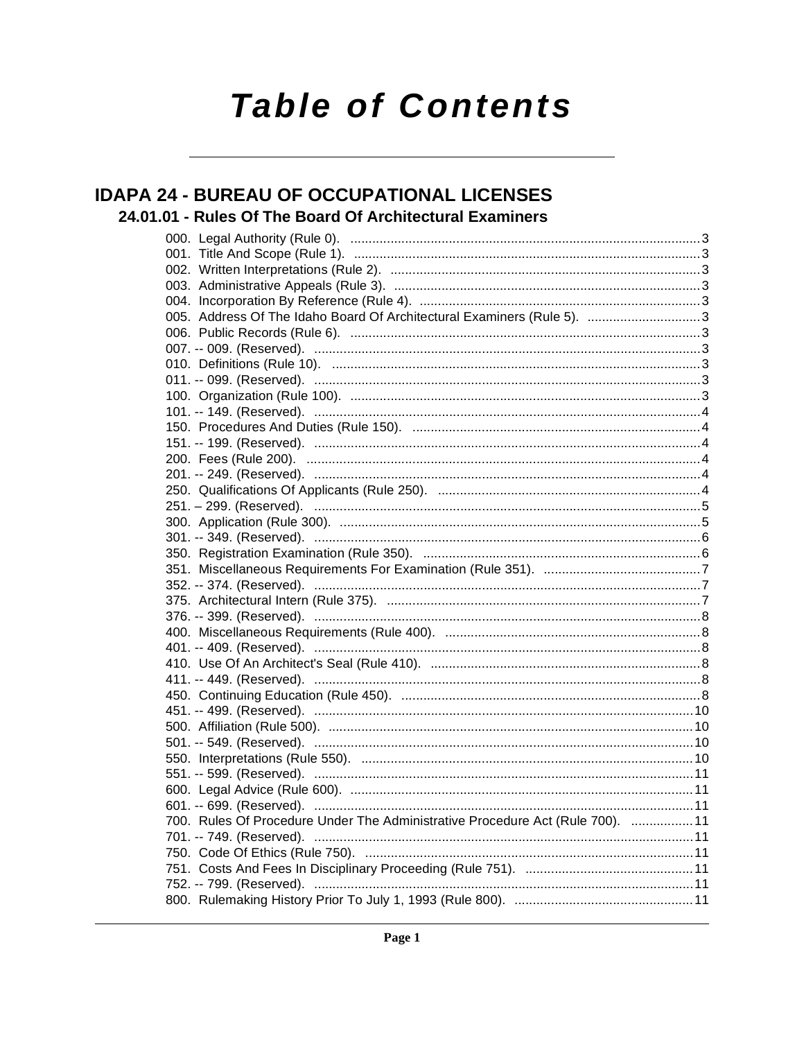# **Table of Contents**

# **IDAPA 24 - BUREAU OF OCCUPATIONAL LICENSES** 24.01.01 - Rules Of The Board Of Architectural Examiners

| 005. Address Of The Idaho Board Of Architectural Examiners (Rule 5). 3         |  |
|--------------------------------------------------------------------------------|--|
|                                                                                |  |
|                                                                                |  |
|                                                                                |  |
|                                                                                |  |
|                                                                                |  |
|                                                                                |  |
|                                                                                |  |
|                                                                                |  |
|                                                                                |  |
|                                                                                |  |
|                                                                                |  |
|                                                                                |  |
|                                                                                |  |
|                                                                                |  |
|                                                                                |  |
|                                                                                |  |
|                                                                                |  |
|                                                                                |  |
|                                                                                |  |
|                                                                                |  |
|                                                                                |  |
|                                                                                |  |
|                                                                                |  |
|                                                                                |  |
|                                                                                |  |
|                                                                                |  |
|                                                                                |  |
|                                                                                |  |
|                                                                                |  |
|                                                                                |  |
|                                                                                |  |
| 700. Rules Of Procedure Under The Administrative Procedure Act (Rule 700).  11 |  |
|                                                                                |  |
|                                                                                |  |
|                                                                                |  |
|                                                                                |  |
|                                                                                |  |
|                                                                                |  |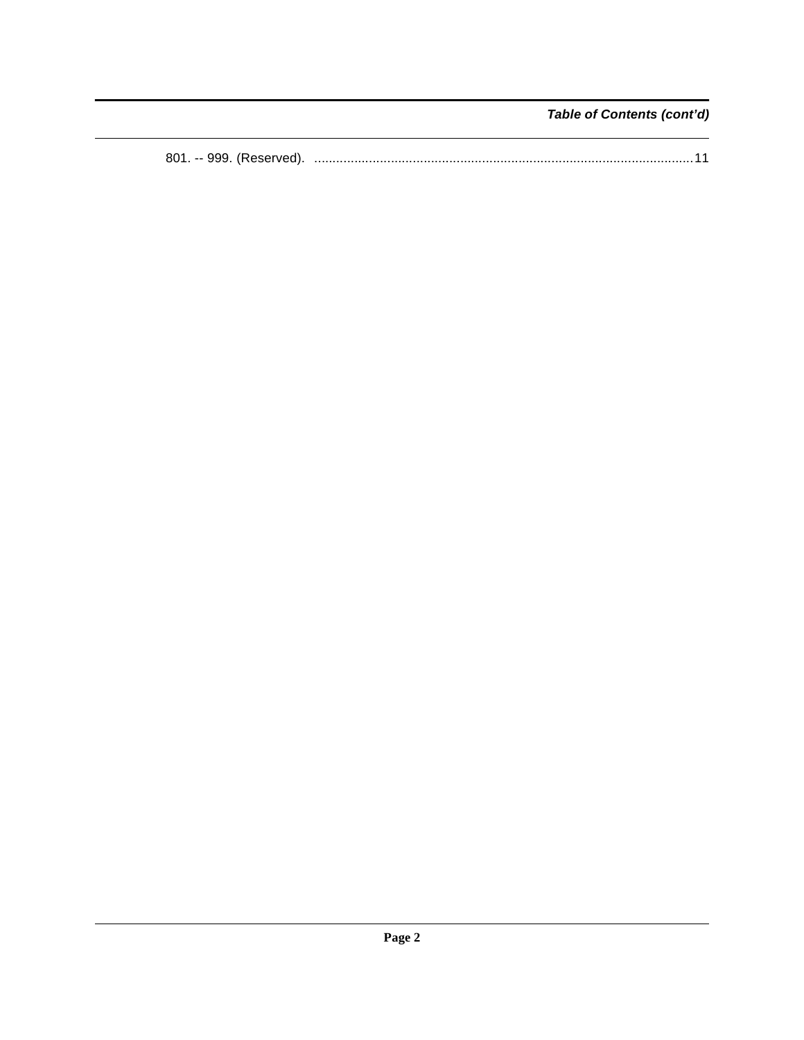Table of Contents (cont'd)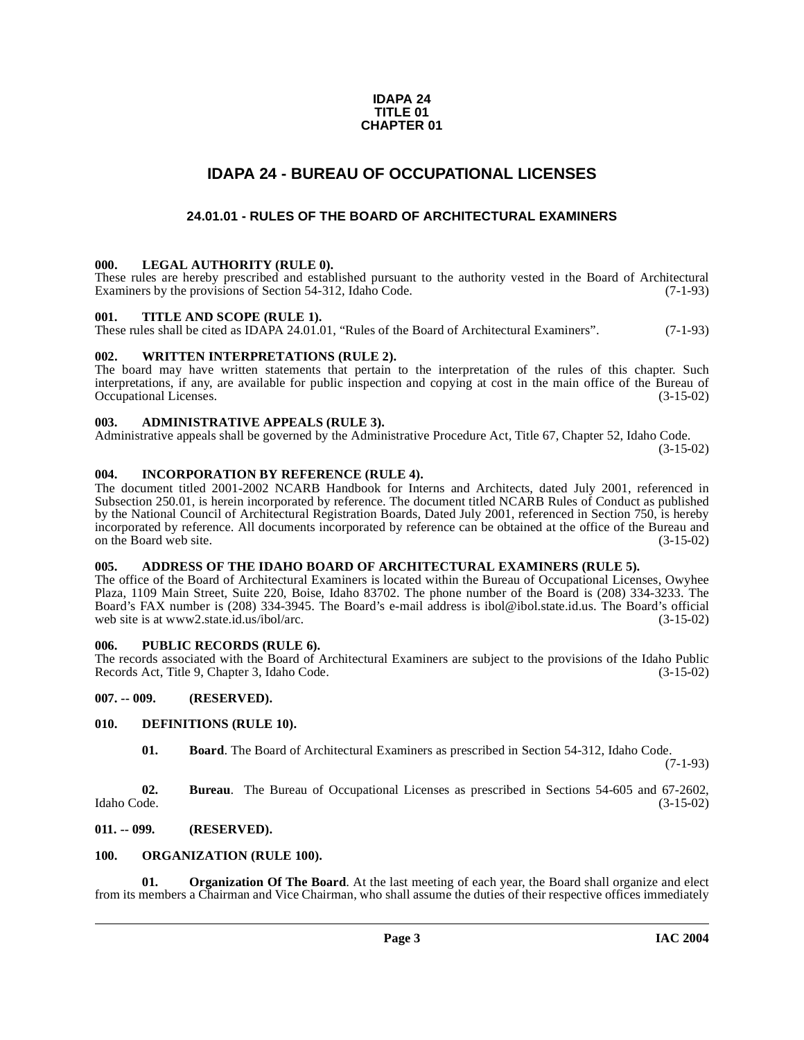### **IDAPA 24 TITLE 01 CHAPTER 01**

# **IDAPA 24 - BUREAU OF OCCUPATIONAL LICENSES**

# **24.01.01 - RULES OF THE BOARD OF ARCHITECTURAL EXAMINERS**

### <span id="page-2-2"></span><span id="page-2-1"></span><span id="page-2-0"></span>**000. LEGAL AUTHORITY (RULE 0).**

These rules are hereby prescribed and established pursuant to the authority vested in the Board of Architectural Examiners by the provisions of Section 54-312, Idaho Code. (7-1-93) Examiners by the provisions of Section 54-312, Idaho Code.

### <span id="page-2-3"></span>**001. TITLE AND SCOPE (RULE 1).**

These rules shall be cited as IDAPA 24.01.01, "Rules of the Board of Architectural Examiners". (7-1-93)

### <span id="page-2-4"></span>**002. WRITTEN INTERPRETATIONS (RULE 2).**

The board may have written statements that pertain to the interpretation of the rules of this chapter. Such interpretations, if any, are available for public inspection and copying at cost in the main office of the Bureau of Occupational Licenses. (3-15-02) Occupational Licenses.

### <span id="page-2-5"></span>**003. ADMINISTRATIVE APPEALS (RULE 3).**

Administrative appeals shall be governed by the Administrative Procedure Act, Title 67, Chapter 52, Idaho Code.

(3-15-02)

### <span id="page-2-6"></span>**004. INCORPORATION BY REFERENCE (RULE 4).**

The document titled 2001-2002 NCARB Handbook for Interns and Architects, dated July 2001, referenced in Subsection 250.01, is herein incorporated by reference. The document titled NCARB Rules of Conduct as published by the National Council of Architectural Registration Boards, Dated July 2001, referenced in Section 750, is hereby incorporated by reference. All documents incorporated by reference can be obtained at the office of the Bureau and on the Board web site.

### <span id="page-2-7"></span>**005. ADDRESS OF THE IDAHO BOARD OF ARCHITECTURAL EXAMINERS (RULE 5).**

[The office of the Board of Architectural Examiners is located within the Bureau of Occupational Licenses, Owyhee](http://www2.state.id.us/ibol/arc) Plaza, 1109 Main Street, Suite 220, Boise, Idaho 83702. The phone number of the Board is (208) 334-3233. The Board's FAX number is (208) 334-3945. The Board's e-mail address is ibol@ibol.state.id.us. The Board's official web site is at www2.state.id.us/ibol/arc.

### <span id="page-2-8"></span>**006. PUBLIC RECORDS (RULE 6).**

The records associated with the Board of Architectural Examiners are subject to the provisions of the Idaho Public<br>Records Act, Title 9, Chapter 3, Idaho Code. (3-15-02) Records Act, Title 9, Chapter 3, Idaho Code.

<span id="page-2-9"></span>**007. -- 009. (RESERVED).**

### <span id="page-2-10"></span>**010. DEFINITIONS (RULE 10).**

<span id="page-2-13"></span>**01. Board**. The Board of Architectural Examiners as prescribed in Section 54-312, Idaho Code.

(7-1-93)

**02.** Bureau. The Bureau of Occupational Licenses as prescribed in Sections 54-605 and 67-2602, Idaho Code. (3-15-02) Idaho Code. (3-15-02)

<span id="page-2-11"></span>**011. -- 099. (RESERVED).**

<span id="page-2-15"></span><span id="page-2-12"></span>**100. ORGANIZATION (RULE 100).**

<span id="page-2-14"></span>**01. Organization Of The Board**. At the last meeting of each year, the Board shall organize and elect from its members a Chairman and Vice Chairman, who shall assume the duties of their respective offices immediately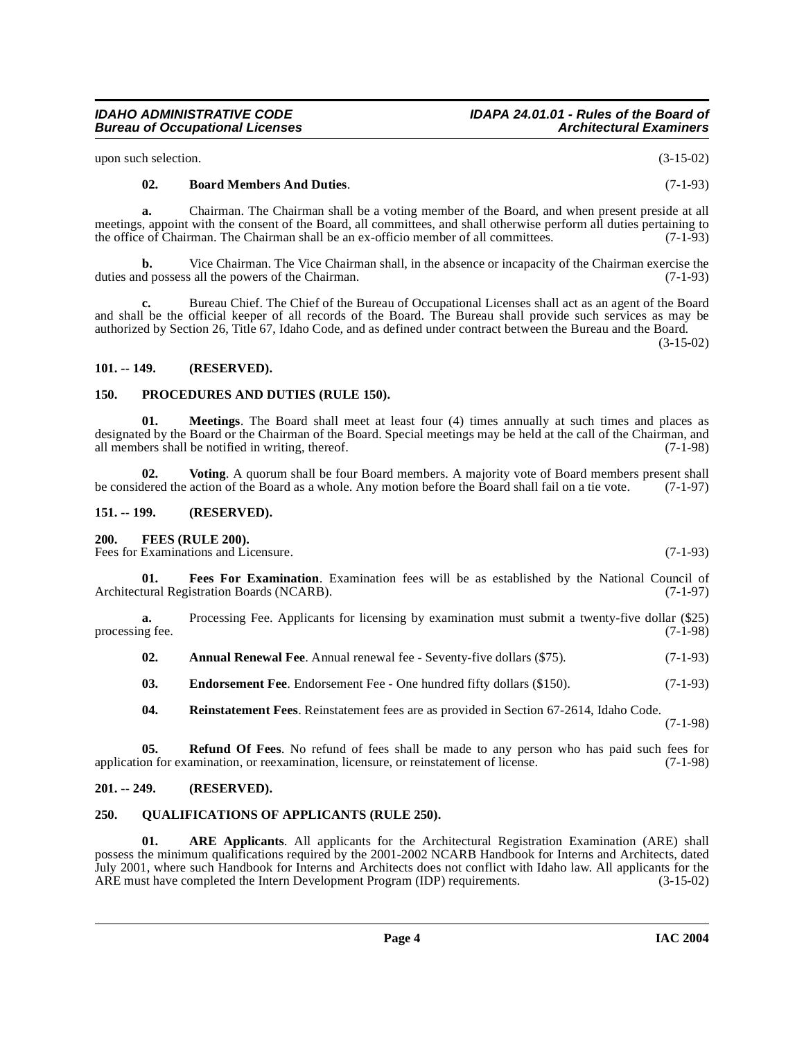upon such selection. (3-15-02)

**Bureau of Occupational Licenses** 

# <span id="page-3-8"></span>**02. Board Members And Duties**. (7-1-93)

**a.** Chairman. The Chairman shall be a voting member of the Board, and when present preside at all meetings, appoint with the consent of the Board, all committees, and shall otherwise perform all duties pertaining to the office of Chairman. The Chairman shall be an ex-officio member of all committees. (7-1-93) the office of Chairman. The Chairman shall be an ex-officio member of all committees.

**b.** Vice Chairman. The Vice Chairman shall, in the absence or incapacity of the Chairman exercise the duties and possess all the powers of the Chairman. (7-1-93)

**c.** Bureau Chief. The Chief of the Bureau of Occupational Licenses shall act as an agent of the Board and shall be the official keeper of all records of the Board. The Bureau shall provide such services as may be authorized by Section 26, Title 67, Idaho Code, and as defined under contract between the Bureau and the Board.

 $(3-15-02)$ 

### <span id="page-3-0"></span>**101. -- 149. (RESERVED).**

### <span id="page-3-13"></span><span id="page-3-1"></span>**150. PROCEDURES AND DUTIES (RULE 150).**

<span id="page-3-12"></span>**01. Meetings**. The Board shall meet at least four (4) times annually at such times and places as designated by the Board or the Chairman of the Board. Special meetings may be held at the call of the Chairman, and all members shall be notified in writing, thereof. (7-1-98) all members shall be notified in writing, thereof.

<span id="page-3-17"></span>**02. Voting**. A quorum shall be four Board members. A majority vote of Board members present shall be considered the action of the Board as a whole. Any motion before the Board shall fail on a tie vote. (7-1-97)

### <span id="page-3-2"></span>**151. -- 199. (RESERVED).**

### <span id="page-3-11"></span><span id="page-3-3"></span>**200. FEES (RULE 200).**

Fees for Examinations and Licensure. (7-1-93)

<span id="page-3-10"></span>**01. Fees For Examination**. Examination fees will be as established by the National Council of Architectural Registration Boards (NCARB). (7-1-97)

**a.** Processing Fee. Applicants for licensing by examination must submit a twenty-five dollar (\$25) processing fee.  $(7-1-98)$ 

<span id="page-3-7"></span>**02.** Annual Renewal Fee. Annual renewal fee - Seventy-five dollars (\$75). (7-1-93)

<span id="page-3-9"></span>**03.** Endorsement Fee. Endorsement Fee - One hundred fifty dollars (\$150). (7-1-93)

<span id="page-3-16"></span><span id="page-3-15"></span>**04. Reinstatement Fees**. Reinstatement fees are as provided in Section 67-2614, Idaho Code.

(7-1-98)

**05.** Refund Of Fees. No refund of fees shall be made to any person who has paid such fees for on for examination, or reexamination, licensure, or reinstatement of license. (7-1-98) application for examination, or reexamination, licensure, or reinstatement of license.

### <span id="page-3-4"></span>**201. -- 249. (RESERVED).**

### <span id="page-3-14"></span><span id="page-3-5"></span>**250. QUALIFICATIONS OF APPLICANTS (RULE 250).**

<span id="page-3-6"></span>**01. ARE Applicants**. All applicants for the Architectural Registration Examination (ARE) shall possess the minimum qualifications required by the 2001-2002 NCARB Handbook for Interns and Architects, dated July 2001, where such Handbook for Interns and Architects does not conflict with Idaho law. All applicants for the ARE must have completed the Intern Development Program (IDP) requirements. (3-15-02)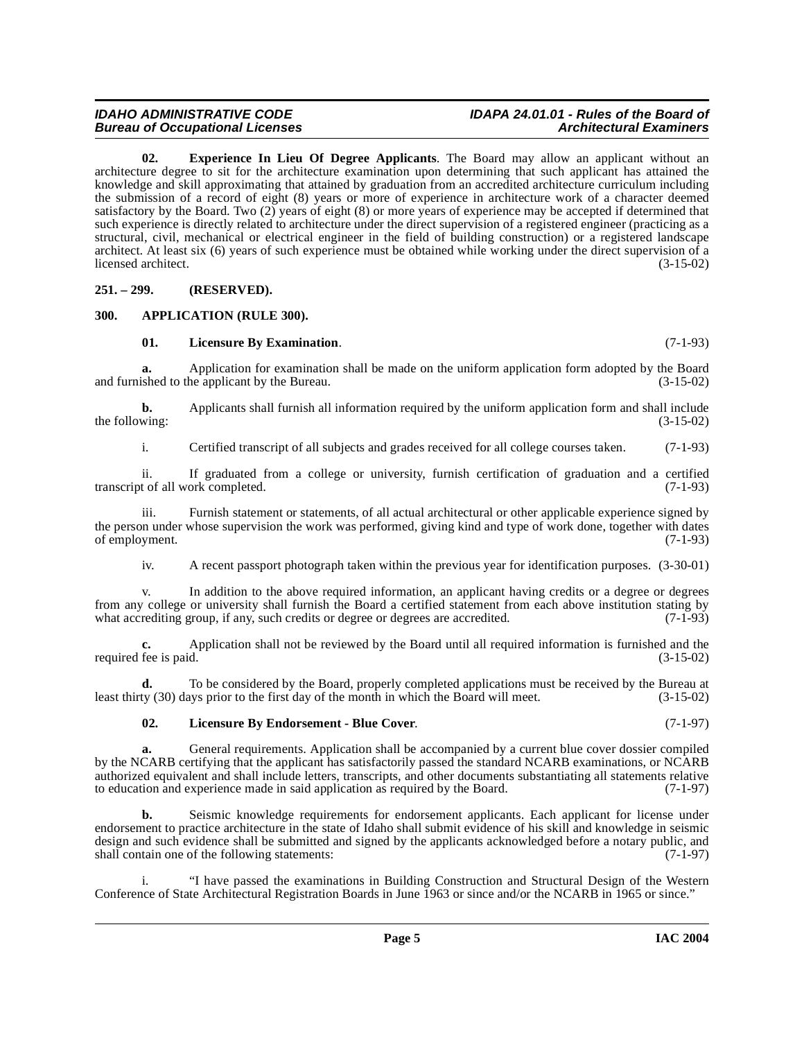# **IDAHO ADMINISTRATIVE CODE IDAPA 24.01.01 - Rules of the Board of**

<span id="page-4-3"></span>**02. Experience In Lieu Of Degree Applicants**. The Board may allow an applicant without an architecture degree to sit for the architecture examination upon determining that such applicant has attained the knowledge and skill approximating that attained by graduation from an accredited architecture curriculum including the submission of a record of eight (8) years or more of experience in architecture work of a character deemed satisfactory by the Board. Two (2) years of eight (8) or more years of experience may be accepted if determined that such experience is directly related to architecture under the direct supervision of a registered engineer (practicing as a structural, civil, mechanical or electrical engineer in the field of building construction) or a registered landscape architect. At least six (6) years of such experience must be obtained while working under the direct supervision of a licensed architect. (3-15-02)

### <span id="page-4-0"></span>**251. – 299. (RESERVED).**

### <span id="page-4-1"></span>**300. APPLICATION (RULE 300).**

### <span id="page-4-5"></span><span id="page-4-2"></span>**01. Licensure By Examination**. (7-1-93)

**a.** Application for examination shall be made on the uniform application form adopted by the Board shed to the application by the Bureau.  $(3-15-02)$ and furnished to the applicant by the Bureau.

**b.** Applicants shall furnish all information required by the uniform application form and shall include the following:  $(3-15-02)$ 

i. Certified transcript of all subjects and grades received for all college courses taken. (7-1-93)

ii. If graduated from a college or university, furnish certification of graduation and a certified t of all work completed. (7-1-93) transcript of all work completed.

iii. Furnish statement or statements, of all actual architectural or other applicable experience signed by the person under whose supervision the work was performed, giving kind and type of work done, together with dates of employment. (7-1-93)

iv. A recent passport photograph taken within the previous year for identification purposes. (3-30-01)

v. In addition to the above required information, an applicant having credits or a degree or degrees from any college or university shall furnish the Board a certified statement from each above institution stating by what accrediting group, if any, such credits or degree or degrees are accredited. (7-1-93) what accrediting group, if any, such credits or degree or degrees are accredited.

**c.** Application shall not be reviewed by the Board until all required information is furnished and the required fee is paid. (3-15-02)

**d.** To be considered by the Board, properly completed applications must be received by the Bureau at ty (30) days prior to the first day of the month in which the Board will meet. (3-15-02) least thirty (30) days prior to the first day of the month in which the Board will meet.

### <span id="page-4-4"></span>**02. Licensure By Endorsement - Blue Cover**. (7-1-97)

**a.** General requirements. Application shall be accompanied by a current blue cover dossier compiled by the NCARB certifying that the applicant has satisfactorily passed the standard NCARB examinations, or NCARB authorized equivalent and shall include letters, transcripts, and other documents substantiating all statements relative to education and experience made in said application as required by the Board. (7-1-97) to education and experience made in said application as required by the Board.

**b.** Seismic knowledge requirements for endorsement applicants. Each applicant for license under endorsement to practice architecture in the state of Idaho shall submit evidence of his skill and knowledge in seismic design and such evidence shall be submitted and signed by the applicants acknowledged before a notary public, and shall contain one of the following statements: (7-1-97)

i. "I have passed the examinations in Building Construction and Structural Design of the Western Conference of State Architectural Registration Boards in June 1963 or since and/or the NCARB in 1965 or since."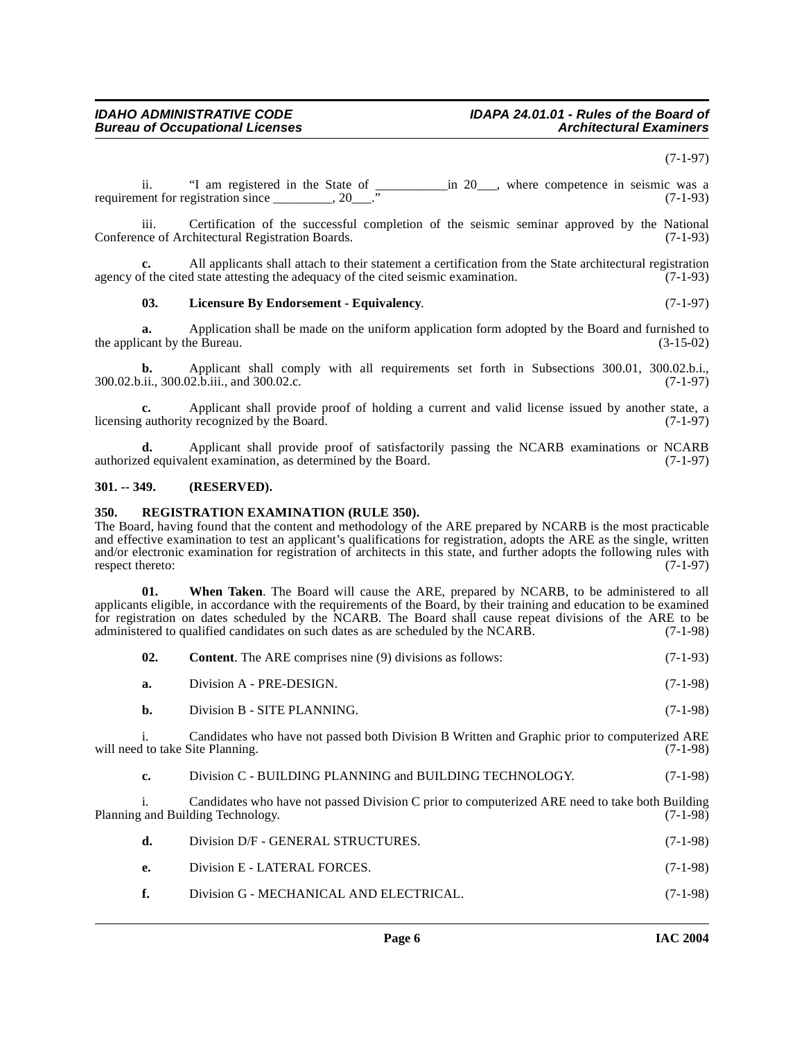### (7-1-97)

ii. "I am registered in the State of \_\_\_\_\_\_\_\_\_\_\_in 20\_\_\_, where competence in seismic was a requirement for registration since  $\qquad \qquad$  20.  $\qquad$ " (7-1-93)

iii. Certification of the successful completion of the seismic seminar approved by the National ince of Architectural Registration Boards. (7-1-93) Conference of Architectural Registration Boards.

**c.** All applicants shall attach to their statement a certification from the State architectural registration agency of the cited state attesting the adequacy of the cited seismic examination. (7-1-93)

# <span id="page-5-2"></span>**03. Licensure By Endorsement - Equivalency**. (7-1-97)

**a.** Application shall be made on the uniform application form adopted by the Board and furnished to the applicant by the Bureau.  $(3-15-02)$ 

**b.** Applicant shall comply with all requirements set forth in Subsections 300.01, 300.02.b.i., (7-1-97)  $300.02 \text{ b.}$ ii.,  $300.02 \text{ h.}$ iii., and  $300.02 \text{ c.}$ 

**c.** Applicant shall provide proof of holding a current and valid license issued by another state, a licensing authority recognized by the Board. (7-1-97)

**d.** Applicant shall provide proof of satisfactorily passing the NCARB examinations or NCARB ed equivalent examination, as determined by the Board. (7-1-97) authorized equivalent examination, as determined by the Board.

### <span id="page-5-0"></span>**301. -- 349. (RESERVED).**

### <span id="page-5-3"></span><span id="page-5-1"></span>**350. REGISTRATION EXAMINATION (RULE 350).**

The Board, having found that the content and methodology of the ARE prepared by NCARB is the most practicable and effective examination to test an applicant's qualifications for registration, adopts the ARE as the single, written and/or electronic examination for registration of architects in this state, and further adopts the following rules with respect thereto: (7-1-97)

**01. When Taken**. The Board will cause the ARE, prepared by NCARB, to be administered to all applicants eligible, in accordance with the requirements of the Board, by their training and education to be examined for registration on dates scheduled by the NCARB. The Board shall cause repeat divisions of the ARE to be administered to qualified candidates on such dates as are scheduled by the NCARB. (7-1-98)

| 02.  | <b>Content.</b> The ARE comprises nine (9) divisions as follows: | $(7-1-93)$ |
|------|------------------------------------------------------------------|------------|
| а.   | Division A - PRE-DESIGN.                                         | $(7-1-98)$ |
| - b. | Division B - SITE PLANNING.                                      | $(7-1-98)$ |
|      |                                                                  |            |

i. Candidates who have not passed both Division B Written and Graphic prior to computerized ARE<br>d to take Site Planning. (7-1-98) will need to take Site Planning.

**c.** Division C - BUILDING PLANNING and BUILDING TECHNOLOGY. (7-1-98)

i. Candidates who have not passed Division C prior to computerized ARE need to take both Building Technology. (7-1-98) Planning and Building Technology.

| - d. -       | Division D/F - GENERAL STRUCTURES.      | $(7-1-98)$ |
|--------------|-----------------------------------------|------------|
| $_{\rm e}$   | Division E - LATERAL FORCES.            | $(7-1-98)$ |
| $\mathbf{f}$ | Division G - MECHANICAL AND ELECTRICAL. | $(7-1-98)$ |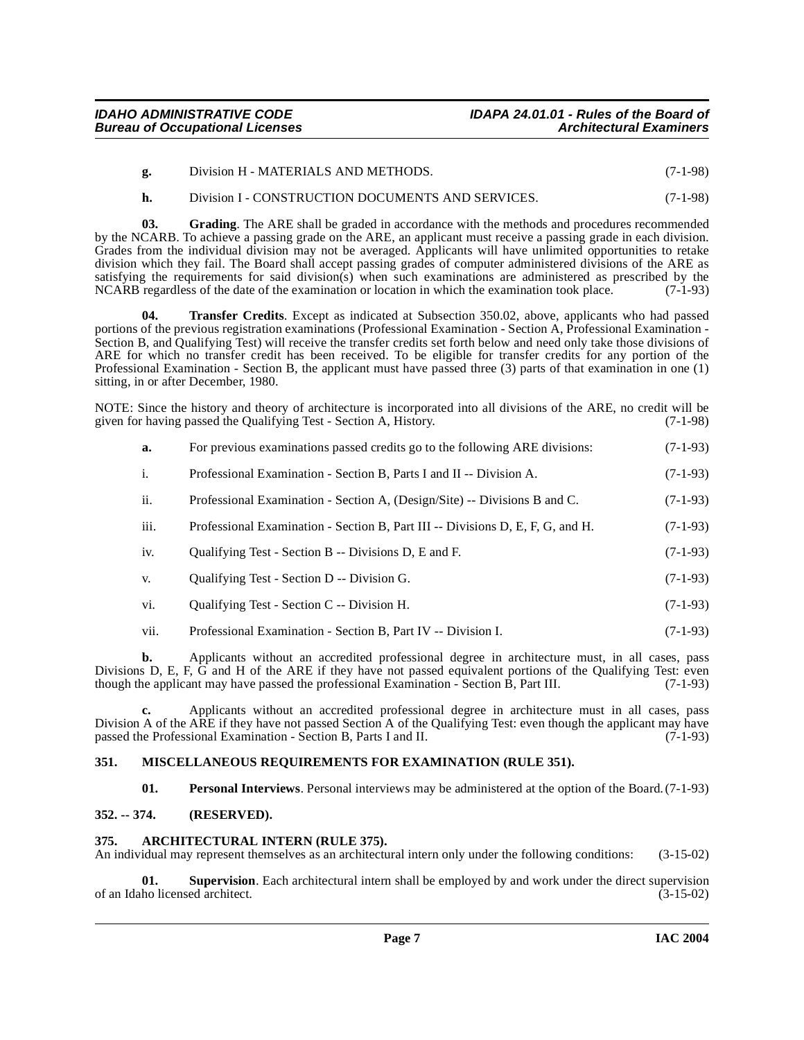- **g.** Division H MATERIALS AND METHODS. (7-1-98)
- <span id="page-6-4"></span>**h.** Division I - CONSTRUCTION DOCUMENTS AND SERVICES. (7-1-98)

**03. Grading**. The ARE shall be graded in accordance with the methods and procedures recommended by the NCARB. To achieve a passing grade on the ARE, an applicant must receive a passing grade in each division. Grades from the individual division may not be averaged. Applicants will have unlimited opportunities to retake division which they fail. The Board shall accept passing grades of computer administered divisions of the ARE as satisfying the requirements for said division(s) when such examinations are administered as prescribed by the NCARB regardless of the date of the examination or location in which the examination took place. (7-1-93)

<span id="page-6-8"></span>**04. Transfer Credits**. Except as indicated at Subsection 350.02, above, applicants who had passed portions of the previous registration examinations (Professional Examination - Section A, Professional Examination - Section B, and Qualifying Test) will receive the transfer credits set forth below and need only take those divisions of ARE for which no transfer credit has been received. To be eligible for transfer credits for any portion of the Professional Examination - Section B, the applicant must have passed three (3) parts of that examination in one (1) sitting, in or after December, 1980.

NOTE: Since the history and theory of architecture is incorporated into all divisions of the ARE, no credit will be given for having passed the Oualifying Test - Section A. History. (7-1-98) given for having passed the Qualifying Test - Section A, History.

| а.                    | For previous examinations passed credits go to the following ARE divisions: | $(7-1-93)$ |
|-----------------------|-----------------------------------------------------------------------------|------------|
| $\overline{1}$ .      | Professional Examination - Section B, Parts I and II -- Division A.         | $(7-1-93)$ |
| $\ddot{\mathbf{i}}$ . | Professional Examination - Section A, (Design/Site) -- Divisions B and C.   | $(7-1-93)$ |

- iii. Professional Examination Section B, Part III -- Divisions D, E, F, G, and H. (7-1-93)
- iv. Qualifying Test Section B -- Divisions D, E and F. (7-1-93)
- v. Qualifying Test Section D -- Division G. (7-1-93)
- vi. Qualifying Test Section C -- Division H. (7-1-93)
- vii. Professional Examination Section B, Part IV -- Division I. (7-1-93)

**b.** Applicants without an accredited professional degree in architecture must, in all cases, pass Divisions D, E, F,  $\hat{G}$  and H of the ARE if they have not passed equivalent portions of the Qualifying Test: even though the applicant may have passed the professional Examination - Section B, Part III. (7-1-93) though the applicant may have passed the professional Examination - Section B, Part III.

**c.** Applicants without an accredited professional degree in architecture must in all cases, pass Division A of the ARE if they have not passed Section A of the Qualifying Test: even though the applicant may have passed the Professional Examination - Section B, Parts I and II. (7-1-93) passed the Professional Examination - Section B, Parts I and II.

### <span id="page-6-0"></span>**351. MISCELLANEOUS REQUIREMENTS FOR EXAMINATION (RULE 351).**

<span id="page-6-6"></span><span id="page-6-5"></span><span id="page-6-3"></span>**01. Personal Interviews**. Personal interviews may be administered at the option of the Board. (7-1-93)

# <span id="page-6-1"></span>**352. -- 374. (RESERVED).**

### <span id="page-6-2"></span>**375. ARCHITECTURAL INTERN (RULE 375).**

An individual may represent themselves as an architectural intern only under the following conditions: (3-15-02)

<span id="page-6-7"></span>**01. Supervision**. Each architectural intern shall be employed by and work under the direct supervision ho licensed architect. (3-15-02) of an Idaho licensed architect.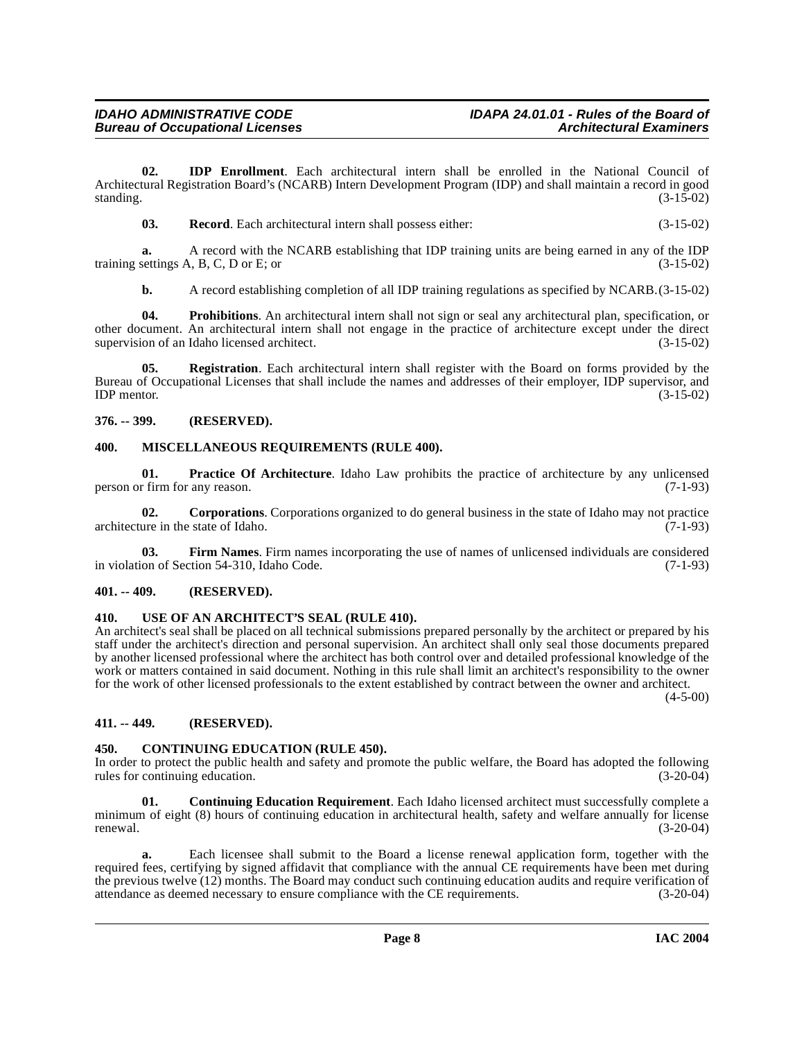**02. IDP Enrollment**. Each architectural intern shall be enrolled in the National Council of Architectural Registration Board's (NCARB) Intern Development Program (IDP) and shall maintain a record in good standing. (3-15-02) standing.  $(3-15-02)$ 

<span id="page-7-14"></span><span id="page-7-10"></span>**03. Record**. Each architectural intern shall possess either: (3-15-02)

**a.** A record with the NCARB establishing that IDP training units are being earned in any of the IDP settings A. B. C. D or E: or training settings  $A$ ,  $B$ ,  $C$ ,  $D$  or  $E$ ; or

<span id="page-7-15"></span><span id="page-7-13"></span>**b.** A record establishing completion of all IDP training regulations as specified by NCARB. (3-15-02)

**04. Prohibitions**. An architectural intern shall not sign or seal any architectural plan, specification, or other document. An architectural intern shall not engage in the practice of architecture except under the direct supervision of an Idaho licensed architect. (3-15-02)

**05. Registration**. Each architectural intern shall register with the Board on forms provided by the Bureau of Occupational Licenses that shall include the names and addresses of their employer, IDP supervisor, and  $IDP$  mentor.  $(3-15-02)$ 

### <span id="page-7-0"></span>**376. -- 399. (RESERVED).**

### <span id="page-7-11"></span><span id="page-7-1"></span>**400. MISCELLANEOUS REQUIREMENTS (RULE 400).**

<span id="page-7-12"></span>**01. Practice Of Architecture**. Idaho Law prohibits the practice of architecture by any unlicensed r firm for any reason. (7-1-93) person or firm for any reason.

<span id="page-7-8"></span>**02. Corporations.** Corporations organized to do general business in the state of Idaho may not practice ure in the state of Idaho. (7-1-93) architecture in the state of Idaho.

<span id="page-7-9"></span>**03. Firm Names**. Firm names incorporating the use of names of unlicensed individuals are considered on of Section 54-310, Idaho Code. (7-1-93) in violation of Section 54-310, Idaho Code.

### <span id="page-7-2"></span>**401. -- 409. (RESERVED).**

### <span id="page-7-3"></span>**410. USE OF AN ARCHITECT'S SEAL (RULE 410).**

An architect's seal shall be placed on all technical submissions prepared personally by the architect or prepared by his staff under the architect's direction and personal supervision. An architect shall only seal those documents prepared by another licensed professional where the architect has both control over and detailed professional knowledge of the work or matters contained in said document. Nothing in this rule shall limit an architect's responsibility to the owner for the work of other licensed professionals to the extent established by contract between the owner and architect.

 $(4-5-00)$ 

# <span id="page-7-4"></span>**411. -- 449. (RESERVED).**

# <span id="page-7-7"></span><span id="page-7-5"></span>**450. CONTINUING EDUCATION (RULE 450).**

In order to protect the public health and safety and promote the public welfare, the Board has adopted the following rules for continuing education.

<span id="page-7-6"></span>**01. Continuing Education Requirement**. Each Idaho licensed architect must successfully complete a minimum of eight (8) hours of continuing education in architectural health, safety and welfare annually for license renewal. (3-20-04)

**a.** Each licensee shall submit to the Board a license renewal application form, together with the required fees, certifying by signed affidavit that compliance with the annual CE requirements have been met during the previous twelve (12) months. The Board may conduct such continuing education audits and require verification of attendance as deemed necessary to ensure compliance with the CE requirements. (3-20-04) attendance as deemed necessary to ensure compliance with the CE requirements.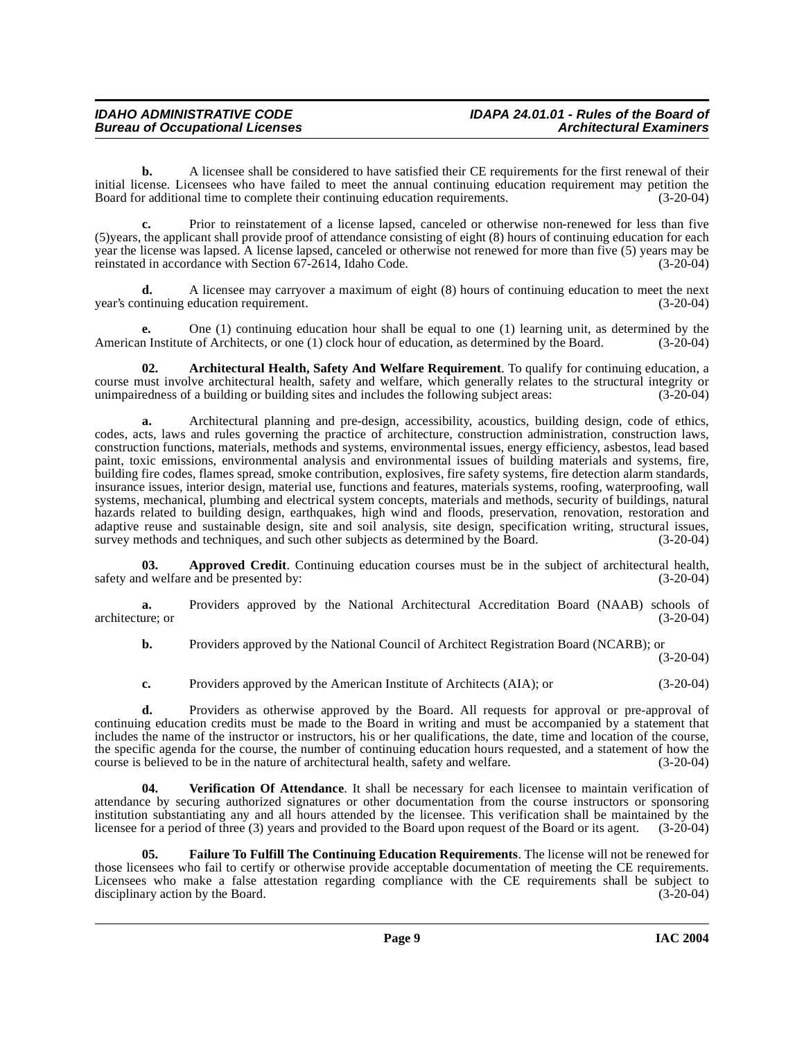**b.** A licensee shall be considered to have satisfied their CE requirements for the first renewal of their initial license. Licensees who have failed to meet the annual continuing education requirement may petition the Board for additional time to complete their continuing education requirements. (3-20-04)

**c.** Prior to reinstatement of a license lapsed, canceled or otherwise non-renewed for less than five (5)years, the applicant shall provide proof of attendance consisting of eight (8) hours of continuing education for each year the license was lapsed. A license lapsed, canceled or otherwise not renewed for more than five (5) years may be reinstated in accordance with Section 67-2614. Idaho Code. (3-20-04) reinstated in accordance with Section 67-2614, Idaho Code.

**d.** A licensee may carryover a maximum of eight (8) hours of continuing education to meet the next ntinuing education requirement. (3-20-04) year's continuing education requirement.

**e.** One (1) continuing education hour shall be equal to one (1) learning unit, as determined by the American Institute of Architects, or one (1) clock hour of education, as determined by the Board. (3-20-04)

<span id="page-8-0"></span>**02. Architectural Health, Safety And Welfare Requirement**. To qualify for continuing education, a course must involve architectural health, safety and welfare, which generally relates to the structural integrity or unimpairedness of a building or building sites and includes the following subject areas: (3-20-04)

**a.** Architectural planning and pre-design, accessibility, acoustics, building design, code of ethics, codes, acts, laws and rules governing the practice of architecture, construction administration, construction laws, construction functions, materials, methods and systems, environmental issues, energy efficiency, asbestos, lead based paint, toxic emissions, environmental analysis and environmental issues of building materials and systems, fire, building fire codes, flames spread, smoke contribution, explosives, fire safety systems, fire detection alarm standards, insurance issues, interior design, material use, functions and features, materials systems, roofing, waterproofing, wall systems, mechanical, plumbing and electrical system concepts, materials and methods, security of buildings, natural hazards related to building design, earthquakes, high wind and floods, preservation, renovation, restoration and adaptive reuse and sustainable design, site and soil analysis, site design, specification writing, structural issues, survey methods and techniques, and such other subjects as determined by the Board. (3-20-04) survey methods and techniques, and such other subjects as determined by the Board.

**03. Approved Credit**. Continuing education courses must be in the subject of architectural health, safety and welfare and be presented by: (3-20-04)

**a.** Providers approved by the National Architectural Accreditation Board (NAAB) schools of (3-20-04) architecture; or

**b.** Providers approved by the National Council of Architect Registration Board (NCARB); or

(3-20-04)

**c.** Providers approved by the American Institute of Architects (AIA); or (3-20-04)

**d.** Providers as otherwise approved by the Board. All requests for approval or pre-approval of continuing education credits must be made to the Board in writing and must be accompanied by a statement that includes the name of the instructor or instructors, his or her qualifications, the date, time and location of the course, the specific agenda for the course, the number of continuing education hours requested, and a statement of how the course is believed to be in the nature of architectural health, safety and welfare. (3-20-04)

<span id="page-8-2"></span>**04. Verification Of Attendance**. It shall be necessary for each licensee to maintain verification of attendance by securing authorized signatures or other documentation from the course instructors or sponsoring institution substantiating any and all hours attended by the licensee. This verification shall be maintained by the licensee for a period of three (3) years and provided to the Board upon request of the Board or its agent. (3-20-04)

<span id="page-8-1"></span>**05. Failure To Fulfill The Continuing Education Requirements**. The license will not be renewed for those licensees who fail to certify or otherwise provide acceptable documentation of meeting the CE requirements. Licensees who make a false attestation regarding compliance with the CE requirements shall be subject to disciplinary action by the Board. (3-20-04) disciplinary action by the Board.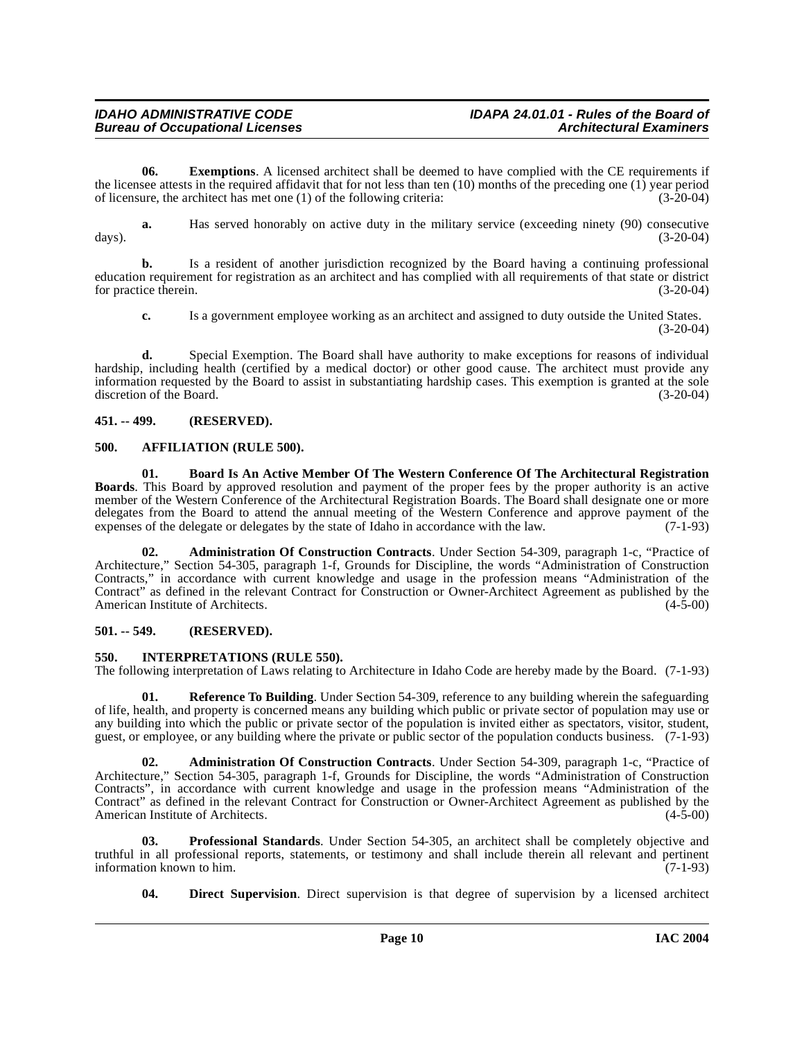**06.** Exemptions. A licensed architect shall be deemed to have complied with the CE requirements if the licensee attests in the required affidavit that for not less than ten (10) months of the preceding one (1) year period<br>of licensure, the architect has met one (1) of the following criteria:<br>(3-20-04) of licensure, the architect has met one  $(1)$  of the following criteria:

**a.** Has served honorably on active duty in the military service (exceeding ninety (90) consecutive (3-20-04) days). (3-20-04)

**b.** Is a resident of another jurisdiction recognized by the Board having a continuing professional education requirement for registration as an architect and has complied with all requirements of that state or district for practice therein. (3-20-04)

**c.** Is a government employee working as an architect and assigned to duty outside the United States.  $(3-20-04)$ 

**d.** Special Exemption. The Board shall have authority to make exceptions for reasons of individual hardship, including health (certified by a medical doctor) or other good cause. The architect must provide any information requested by the Board to assist in substantiating hardship cases. This exemption is granted at the sole discretion of the Board. (3-20-04)

### <span id="page-9-0"></span>**451. -- 499. (RESERVED).**

### <span id="page-9-6"></span><span id="page-9-1"></span>**500. AFFILIATION (RULE 500).**

<span id="page-9-7"></span>**01. Board Is An Active Member Of The Western Conference Of The Architectural Registration Boards**. This Board by approved resolution and payment of the proper fees by the proper authority is an active member of the Western Conference of the Architectural Registration Boards. The Board shall designate one or more delegates from the Board to attend the annual meeting of the Western Conference and approve payment of the expenses of the delegate or delegates by the state of Idaho in accordance with the law. (7-1-93) expenses of the delegate or delegates by the state of Idaho in accordance with the law.

<span id="page-9-4"></span>**02. Administration Of Construction Contracts**. Under Section 54-309, paragraph 1-c, "Practice of Architecture," Section 54-305, paragraph 1-f, Grounds for Discipline, the words "Administration of Construction Contracts," in accordance with current knowledge and usage in the profession means "Administration of the Contract" as defined in the relevant Contract for Construction or Owner-Architect Agreement as published by the American Institute of Architects. (4-5-00) American Institute of Architects.

### <span id="page-9-2"></span>**501. -- 549. (RESERVED).**

### <span id="page-9-9"></span><span id="page-9-3"></span>**550. INTERPRETATIONS (RULE 550).**

The following interpretation of Laws relating to Architecture in Idaho Code are hereby made by the Board. (7-1-93)

<span id="page-9-11"></span>**01. Reference To Building**. Under Section 54-309, reference to any building wherein the safeguarding of life, health, and property is concerned means any building which public or private sector of population may use or any building into which the public or private sector of the population is invited either as spectators, visitor, student, guest, or employee, or any building where the private or public sector of the population conducts business. (7-1-93)

<span id="page-9-5"></span>**02. Administration Of Construction Contracts**. Under Section 54-309, paragraph 1-c, "Practice of Architecture," Section 54-305, paragraph 1-f, Grounds for Discipline, the words "Administration of Construction Contracts", in accordance with current knowledge and usage in the profession means "Administration of the Contract" as defined in the relevant Contract for Construction or Owner-Architect Agreement as published by the American Institute of Architects.

**03. Professional Standards**. Under Section 54-305, an architect shall be completely objective and truthful in all professional reports, statements, or testimony and shall include therein all relevant and pertinent information known to him.

<span id="page-9-10"></span><span id="page-9-8"></span>**04. Direct Supervision**. Direct supervision is that degree of supervision by a licensed architect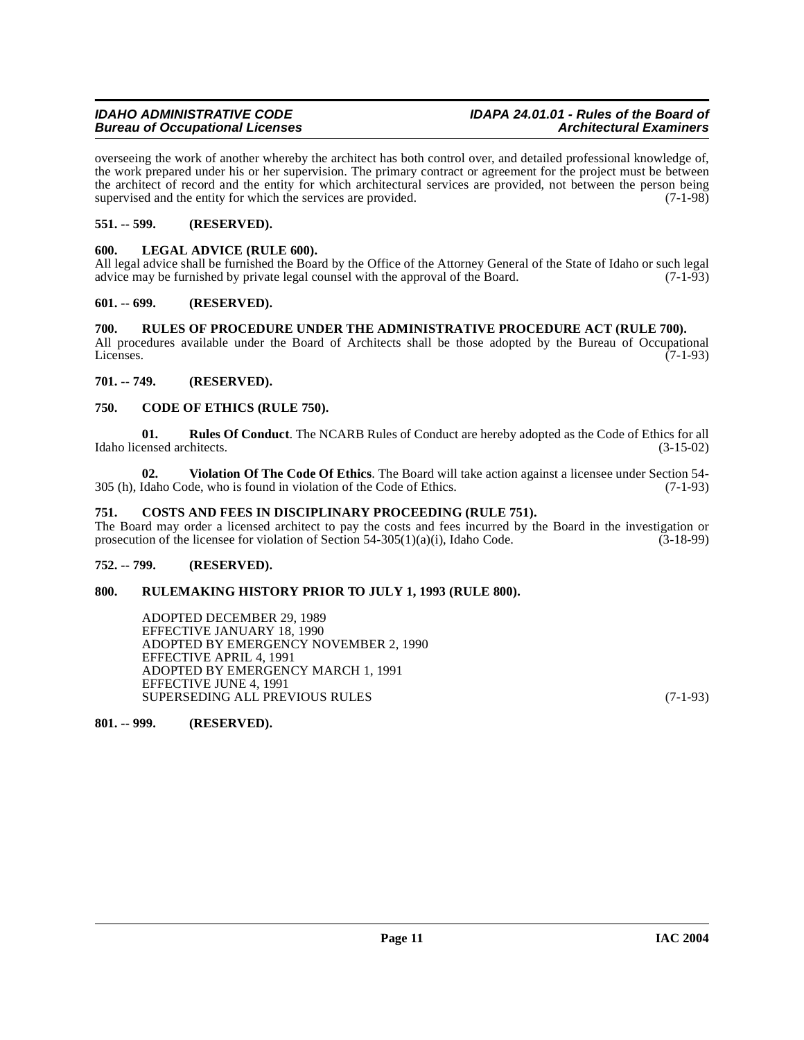overseeing the work of another whereby the architect has both control over, and detailed professional knowledge of, the work prepared under his or her supervision. The primary contract or agreement for the project must be between the architect of record and the entity for which architectural services are provided, not between the person being supervised and the entity for which the services are provided.  $(7-1-98)$ 

### <span id="page-10-0"></span>**551. -- 599. (RESERVED).**

### <span id="page-10-12"></span><span id="page-10-1"></span>**600. LEGAL ADVICE (RULE 600).**

All legal advice shall be furnished the Board by the Office of the Attorney General of the State of Idaho or such legal advice may be furnished by private legal counsel with the approval of the Board.  $(7-1-93)$ 

### <span id="page-10-2"></span>**601. -- 699. (RESERVED).**

### <span id="page-10-3"></span>**700. RULES OF PROCEDURE UNDER THE ADMINISTRATIVE PROCEDURE ACT (RULE 700).**

All procedures available under the Board of Architects shall be those adopted by the Bureau of Occupational Licenses.  $(7-1-93)$ 

### <span id="page-10-4"></span>**701. -- 749. (RESERVED).**

### <span id="page-10-10"></span><span id="page-10-5"></span>**750. CODE OF ETHICS (RULE 750).**

<span id="page-10-13"></span>**01. Rules Of Conduct**. The NCARB Rules of Conduct are hereby adopted as the Code of Ethics for all ensed architects. (3-15-02) Idaho licensed architects.

<span id="page-10-14"></span>**02. Violation Of The Code Of Ethics**. The Board will take action against a licensee under Section 54- 305 (h), Idaho Code, who is found in violation of the Code of Ethics. (7-1-93)

### <span id="page-10-11"></span><span id="page-10-6"></span>**751. COSTS AND FEES IN DISCIPLINARY PROCEEDING (RULE 751).**

The Board may order a licensed architect to pay the costs and fees incurred by the Board in the investigation or prosecution of the licensee for violation of Section 54-305(1)(a)(i), Idaho Code.  $(3-18-99)$ 

### <span id="page-10-7"></span>**752. -- 799. (RESERVED).**

### <span id="page-10-8"></span>**800. RULEMAKING HISTORY PRIOR TO JULY 1, 1993 (RULE 800).**

ADOPTED DECEMBER 29, 1989 EFFECTIVE JANUARY 18, 1990 ADOPTED BY EMERGENCY NOVEMBER 2, 1990 EFFECTIVE APRIL 4, 1991 ADOPTED BY EMERGENCY MARCH 1, 1991 EFFECTIVE JUNE 4, 1991 SUPERSEDING ALL PREVIOUS RULES (7-1-93)

<span id="page-10-9"></span>**801. -- 999. (RESERVED).**